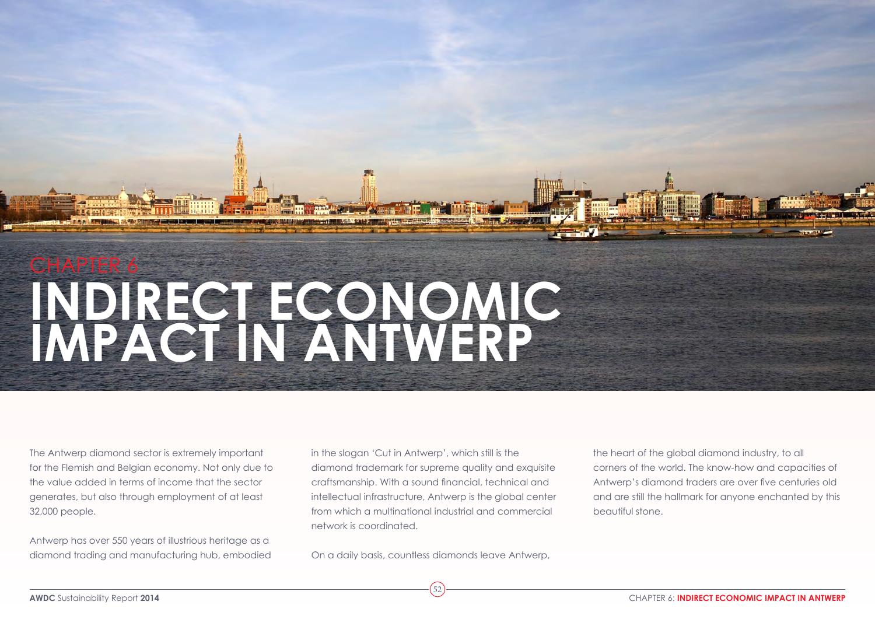# chapter 6 **Indirect economic impact in Antwerp**

The Antwerp diamond sector is extremely important for the Flemish and Belgian economy. Not only due to the value added in terms of income that the sector generates, but also through employment of at least 32,000 people.

Antwerp has over 550 years of illustrious heritage as a diamond trading and manufacturing hub, embodied in the slogan 'Cut in Antwerp', which still is the diamond trademark for supreme quality and exquisite craftsmanship. With a sound financial, technical and intellectual infrastructure, Antwerp is the global center from which a multinational industrial and commercial network is coordinated.

On a daily basis, countless diamonds leave Antwerp,

52

the heart of the global diamond industry, to all corners of the world. The know-how and capacities of Antwerp's diamond traders are over five centuries old and are still the hallmark for anyone enchanted by this beautiful stone.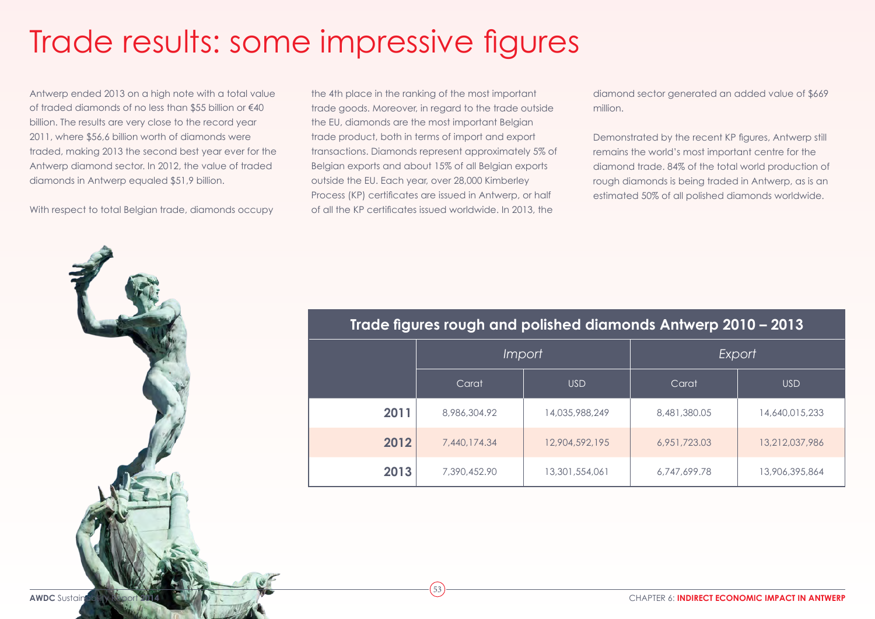## Trade results: some impressive figures

Antwerp ended 2013 on a high note with a total value of traded diamonds of no less than \$55 billion or €40 billion. The results are very close to the record year 2011, where \$56,6 billion worth of diamonds were traded, making 2013 the second best year ever for the Antwerp diamond sector. In 2012, the value of traded diamonds in Antwerp equaled \$51,9 billion.

With respect to total Belgian trade, diamonds occupy

the 4th place in the ranking of the most important trade goods. Moreover, in regard to the trade outside the EU, diamonds are the most important Belgian trade product, both in terms of import and export transactions. Diamonds represent approximately 5% of Belgian exports and about 15% of all Belgian exports outside the EU. Each year, over 28,000 Kimberley Process (KP) certificates are issued in Antwerp, or half of all the KP certificates issued worldwide. In 2013, the

53

diamond sector generated an added value of \$669 million.

Demonstrated by the recent KP figures, Antwerp still remains the world's most important centre for the diamond trade. 84% of the total world production of rough diamonds is being traded in Antwerp, as is an estimated 50% of all polished diamonds worldwide.



|      | Import       |                | Export       |                |
|------|--------------|----------------|--------------|----------------|
|      | Carat        | <b>USD</b>     | Carat        | <b>USD</b>     |
| 2011 | 8,986,304.92 | 14,035,988,249 | 8,481,380.05 | 14,640,015,233 |
| 2012 | 7,440,174.34 | 12,904,592,195 | 6,951,723.03 | 13,212,037,986 |
| 2013 | 7,390,452.90 | 13,301,554,061 | 6,747,699.78 | 13,906,395,864 |

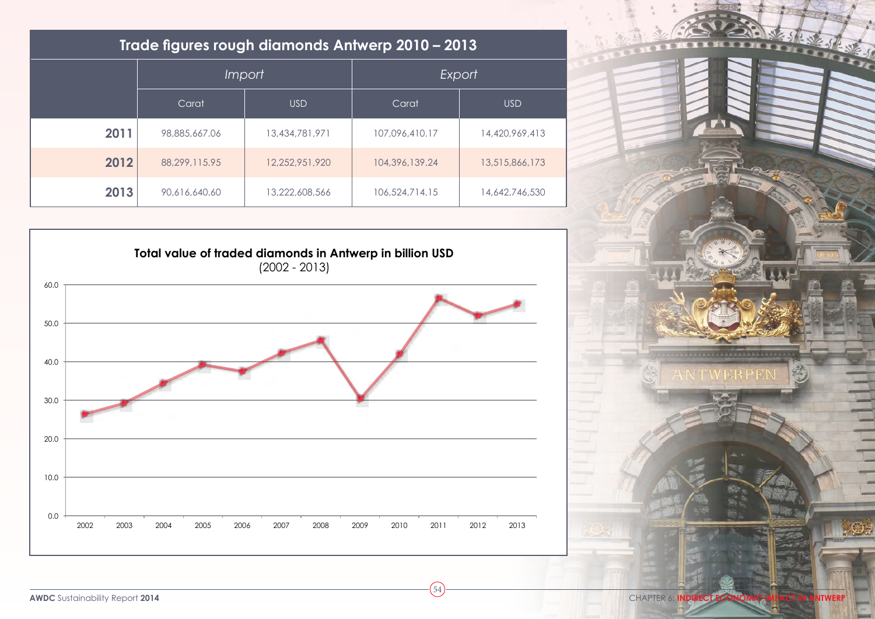| Trade figures rough diamonds Antwerp 2010 - 2013 |               |                |                |                |  |  |
|--------------------------------------------------|---------------|----------------|----------------|----------------|--|--|
|                                                  | <i>Import</i> |                | Export         |                |  |  |
|                                                  | Carat         | <b>USD</b>     | Carat          | <b>USD</b>     |  |  |
| 2011                                             | 98,885,667,06 | 13,434,781,971 | 107,096,410.17 | 14,420,969,413 |  |  |
| 2012                                             | 88.299.115.95 | 12.252.951.920 | 104,396,139,24 | 13,515,866,173 |  |  |
| 2013                                             | 90.616.640.60 | 13,222,608,566 | 106,524,714.15 | 14,642,746,530 |  |  |



54

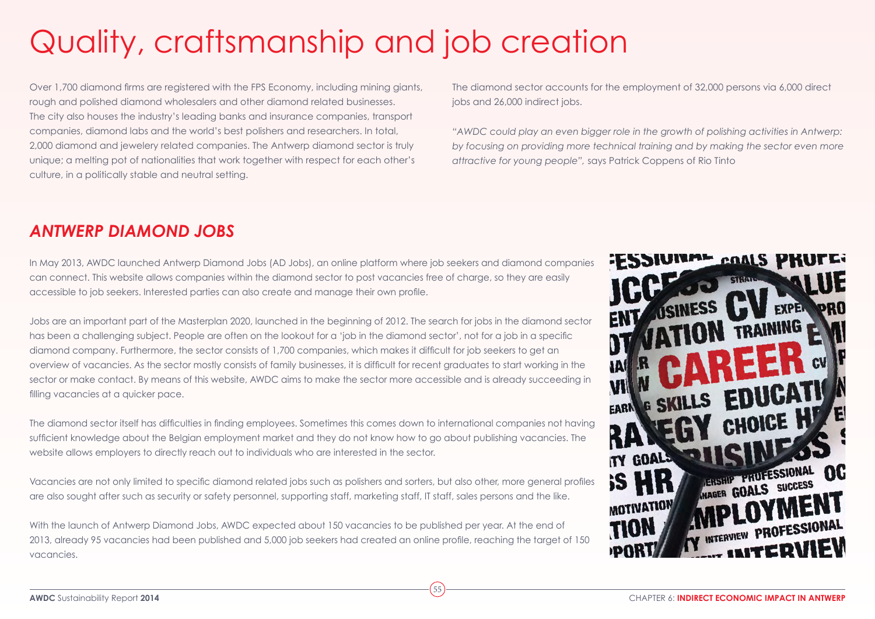# Quality, craftsmanship and job creation

Over 1,700 diamond firms are registered with the FPS Economy, including mining giants, rough and polished diamond wholesalers and other diamond related businesses. The city also houses the industry's leading banks and insurance companies, transport companies, diamond labs and the world's best polishers and researchers. In total, 2,000 diamond and jewelery related companies. The Antwerp diamond sector is truly unique; a melting pot of nationalities that work together with respect for each other's culture, in a politically stable and neutral setting.

The diamond sector accounts for the employment of 32,000 persons via 6,000 direct jobs and 26,000 indirect jobs.

*"AWDC could play an even bigger role in the growth of polishing activities in Antwerp:*  by focusing on providing more technical training and by making the sector even more *attractive for young people",* says Patrick Coppens of Rio Tinto

#### *Antwerp Diamond Jobs*

In May 2013, AWDC launched [Antwerp Diamond Jobs \(AD Jobs\)](https://www.awdc.be/en/antwerp-diamond-jobs-0), an online platform where job seekers and diamond companies can connect. This website allows companies within the diamond sector to post vacancies free of charge, so they are easily accessible to job seekers. Interested parties can also create and manage their own profile.

Jobs are an important part of the Masterplan 2020, launched in the beginning of 2012. The search for jobs in the diamond sector has been a challenging subject. People are often on the lookout for a 'job in the diamond sector', not for a job in a specific diamond company. Furthermore, the sector consists of 1,700 companies, which makes it difficult for job seekers to get an overview of vacancies. As the sector mostly consists of family businesses, it is difficult for recent graduates to start working in the sector or make contact. By means of this website, AWDC aims to make the sector more accessible and is already succeeding in filling vacancies at a quicker pace.

The diamond sector itself has difficulties in finding employees. Sometimes this comes down to international companies not having sufficient knowledge about the Belgian employment market and they do not know how to go about publishing vacancies. The website allows employers to directly reach out to individuals who are interested in the sector.

Vacancies are not only limited to specific diamond related jobs such as polishers and sorters, but also other, more general profiles are also sought after such as security or safety personnel, supporting staff, marketing staff, IT staff, sales persons and the like.

With the launch of Antwerp Diamond Jobs, AWDC expected about 150 vacancies to be published per year. At the end of 2013, already 95 vacancies had been published and 5,000 job seekers had created an online profile, reaching the target of 150 vacancies.

55